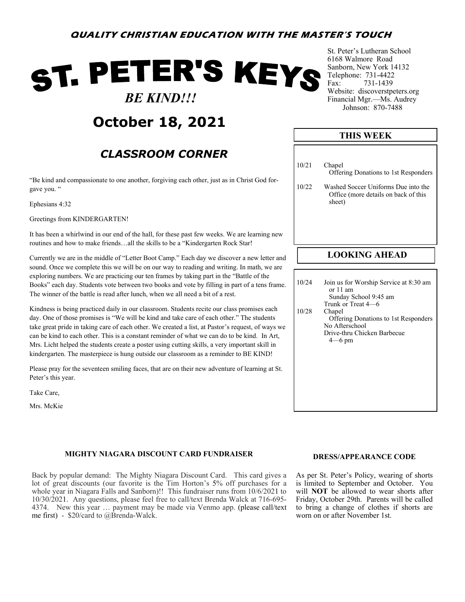### **QUALITY CHRISTIAN EDUCATION WITH THE MASTER'S TOUCH**

# ST. PETER'S KEYS  *BE KIND!!!*

## **October 18, 2021**

### *CLASSROOM CORNER*

"Be kind and compassionate to one another, forgiving each other, just as in Christ God forgave you. "

Ephesians 4:32

Greetings from KINDERGARTEN!

It has been a whirlwind in our end of the hall, for these past few weeks. We are learning new routines and how to make friends…all the skills to be a "Kindergarten Rock Star!

Currently we are in the middle of "Letter Boot Camp." Each day we discover a new letter and sound. Once we complete this we will be on our way to reading and writing. In math, we are exploring numbers. We are practicing our ten frames by taking part in the "Battle of the Books" each day. Students vote between two books and vote by filling in part of a tens frame. The winner of the battle is read after lunch, when we all need a bit of a rest.

Kindness is being practiced daily in our classroom. Students recite our class promises each day. One of those promises is "We will be kind and take care of each other." The students take great pride in taking care of each other. We created a list, at Pastor's request, of ways we can be kind to each other. This is a constant reminder of what we can do to be kind. In Art, Mrs. Licht helped the students create a poster using cutting skills, a very important skill in kindergarten. The masterpiece is hung outside our classroom as a reminder to BE KIND!

Please pray for the seventeen smiling faces, that are on their new adventure of learning at St. Peter's this year.

Take Care,

Mrs. McKie

### **MIGHTY NIAGARA DISCOUNT CARD FUNDRAISER**

Back by popular demand: The Mighty Niagara Discount Card. This card gives a lot of great discounts (our favorite is the Tim Horton's 5% off purchases for a whole year in Niagara Falls and Sanborn)!! This fundraiser runs from 10/6/2021 to 10/30/2021. Any questions, please feel free to call/text Brenda Walck at 716-695- 4374. New this year … payment may be made via Venmo app. (please call/text me first) - \$20/card to @Brenda-Walck.

St. Peter's Lutheran School 6168 Walmore Road Sanborn, New York 14132 Telephone: 731-4422 Fax: 731-1439 Website: discoverstpeters.org Financial Mgr.—Ms. Audrey Johnson: 870-7488

### 10/21 Chapel Offering Donations to 1st Responders 10/22 Washed Soccer Uniforms Due into the Office (more details on back of this sheet) **LOOKING AHEAD THIS WEEK** 10/24 Join us for Worship Service at 8:30 am or 11 am Sunday School 9:45 am Trunk or Treat 4—6 10/28 Chapel

#### **DRESS/APPEARANCE CODE**

As per St. Peter's Policy, wearing of shorts is limited to September and October. You will **NOT** be allowed to wear shorts after Friday, October 29th. Parents will be called to bring a change of clothes if shorts are worn on or after November 1st.

 Offering Donations to 1st Responders No Afterschool Drive-thru Chicken Barbecue 4—6 pm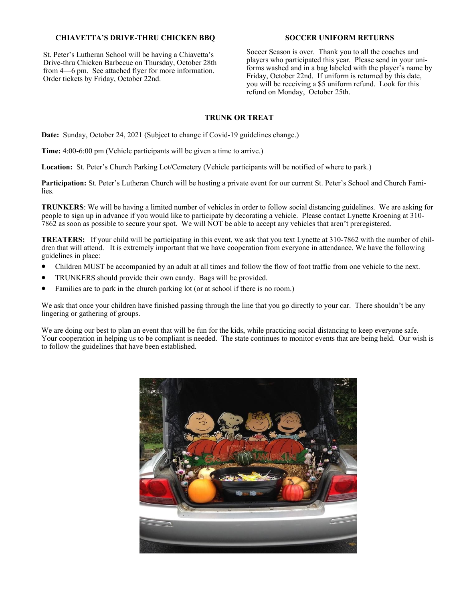### **CHIAVETTA'S DRIVE-THRU CHICKEN BBQ**

St. Peter's Lutheran School will be having a Chiavetta's Drive-thru Chicken Barbecue on Thursday, October 28th from 4—6 pm. See attached flyer for more information. Order tickets by Friday, October 22nd.

### **SOCCER UNIFORM RETURNS**

Soccer Season is over. Thank you to all the coaches and players who participated this year. Please send in your uniforms washed and in a bag labeled with the player's name by Friday, October 22nd. If uniform is returned by this date, you will be receiving a \$5 uniform refund. Look for this refund on Monday, October 25th.

### **TRUNK OR TREAT**

**Date:** Sunday, October 24, 2021 (Subject to change if Covid-19 guidelines change.)

**Time:** 4:00-6:00 pm (Vehicle participants will be given a time to arrive.)

**Location:** St. Peter's Church Parking Lot/Cemetery (Vehicle participants will be notified of where to park.)

**Participation:** St. Peter's Lutheran Church will be hosting a private event for our current St. Peter's School and Church Families.

**TRUNKERS**: We will be having a limited number of vehicles in order to follow social distancing guidelines. We are asking for people to sign up in advance if you would like to participate by decorating a vehicle. Please contact Lynette Kroening at 310- 7862 as soon as possible to secure your spot. We will NOT be able to accept any vehicles that aren't preregistered.

**TREATERS:** If your child will be participating in this event, we ask that you text Lynette at 310-7862 with the number of children that will attend. It is extremely important that we have cooperation from everyone in attendance. We have the following guidelines in place:

- Children MUST be accompanied by an adult at all times and follow the flow of foot traffic from one vehicle to the next.
- TRUNKERS should provide their own candy. Bags will be provided.
- Families are to park in the church parking lot (or at school if there is no room.)

We ask that once your children have finished passing through the line that you go directly to your car. There shouldn't be any lingering or gathering of groups.

We are doing our best to plan an event that will be fun for the kids, while practicing social distancing to keep everyone safe. Your cooperation in helping us to be compliant is needed. The state continues to monitor events that are being held. Our wish is to follow the guidelines that have been established.